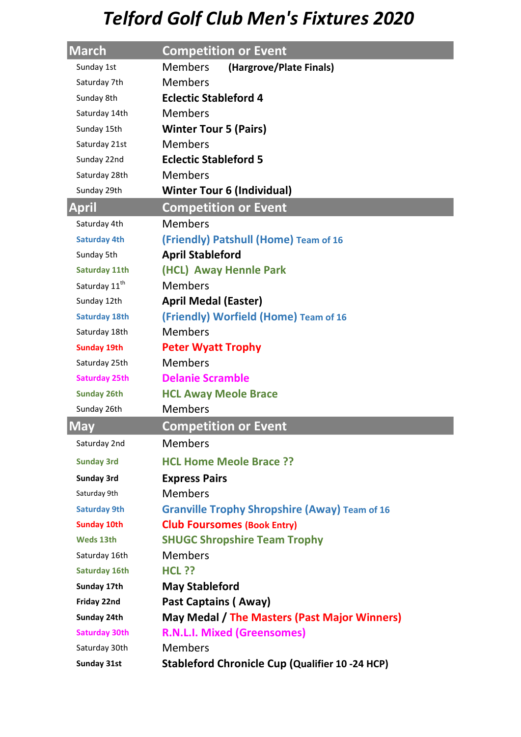| March                     | <b>Competition or Event</b>                          |  |  |
|---------------------------|------------------------------------------------------|--|--|
| Sunday 1st                | <b>Members</b><br>(Hargrove/Plate Finals)            |  |  |
| Saturday 7th              | <b>Members</b>                                       |  |  |
| Sunday 8th                | <b>Eclectic Stableford 4</b>                         |  |  |
| Saturday 14th             | <b>Members</b>                                       |  |  |
| Sunday 15th               | <b>Winter Tour 5 (Pairs)</b>                         |  |  |
| Saturday 21st             | <b>Members</b>                                       |  |  |
| Sunday 22nd               | <b>Eclectic Stableford 5</b>                         |  |  |
| Saturday 28th             | <b>Members</b>                                       |  |  |
| Sunday 29th               | <b>Winter Tour 6 (Individual)</b>                    |  |  |
| <b>April</b>              | <b>Competition or Event</b>                          |  |  |
| Saturday 4th              | <b>Members</b>                                       |  |  |
| <b>Saturday 4th</b>       | (Friendly) Patshull (Home) Team of 16                |  |  |
| Sunday 5th                | <b>April Stableford</b>                              |  |  |
| <b>Saturday 11th</b>      | (HCL) Away Hennle Park                               |  |  |
| Saturday 11 <sup>th</sup> | <b>Members</b>                                       |  |  |
| Sunday 12th               | <b>April Medal (Easter)</b>                          |  |  |
| <b>Saturday 18th</b>      | (Friendly) Worfield (Home) Team of 16                |  |  |
| Saturday 18th             | <b>Members</b>                                       |  |  |
| <b>Sunday 19th</b>        | <b>Peter Wyatt Trophy</b>                            |  |  |
| Saturday 25th             | <b>Members</b>                                       |  |  |
| <b>Saturday 25th</b>      | <b>Delanie Scramble</b>                              |  |  |
| <b>Sunday 26th</b>        | <b>HCL Away Meole Brace</b>                          |  |  |
| Sunday 26th               | <b>Members</b>                                       |  |  |
| <b>May</b>                | <b>Competition or Event</b>                          |  |  |
| Saturday 2nd              | <b>Members</b>                                       |  |  |
| <b>Sunday 3rd</b>         | <b>HCL Home Meole Brace ??</b>                       |  |  |
| <b>Sunday 3rd</b>         | <b>Express Pairs</b>                                 |  |  |
| Saturday 9th              | <b>Members</b>                                       |  |  |
| <b>Saturday 9th</b>       | <b>Granville Trophy Shropshire (Away) Team of 16</b> |  |  |
| <b>Sunday 10th</b>        | <b>Club Foursomes (Book Entry)</b>                   |  |  |
| Weds 13th                 | <b>SHUGC Shropshire Team Trophy</b>                  |  |  |
| Saturday 16th             | <b>Members</b>                                       |  |  |
| <b>Saturday 16th</b>      | <b>HCL ??</b>                                        |  |  |
| Sunday 17th               | <b>May Stableford</b>                                |  |  |
| Friday 22nd               | Past Captains (Away)                                 |  |  |
| Sunday 24th               | May Medal / The Masters (Past Major Winners)         |  |  |
| <b>Saturday 30th</b>      | <b>R.N.L.I. Mixed (Greensomes)</b>                   |  |  |
| Saturday 30th             | <b>Members</b>                                       |  |  |
| <b>Sunday 31st</b>        | Stableford Chronicle Cup (Qualifier 10 -24 HCP)      |  |  |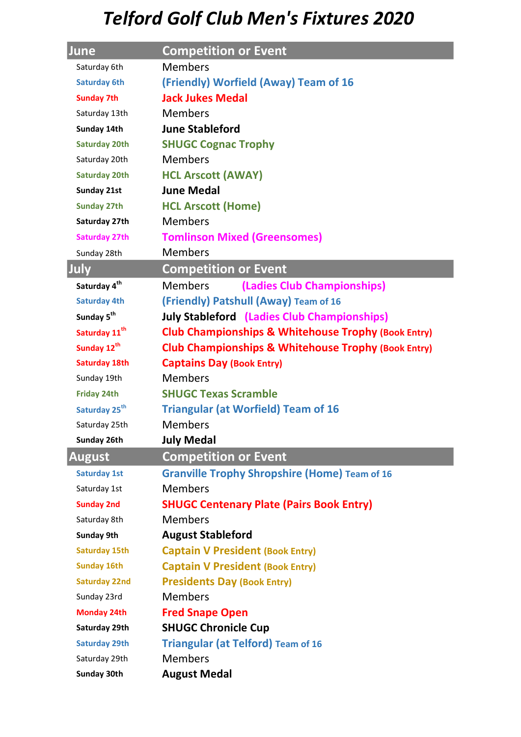| June                      | <b>Competition or Event</b>                                    |  |  |
|---------------------------|----------------------------------------------------------------|--|--|
| Saturday 6th              | <b>Members</b>                                                 |  |  |
| <b>Saturday 6th</b>       | (Friendly) Worfield (Away) Team of 16                          |  |  |
| <b>Sunday 7th</b>         | <b>Jack Jukes Medal</b>                                        |  |  |
| Saturday 13th             | <b>Members</b>                                                 |  |  |
| Sunday 14th               | <b>June Stableford</b>                                         |  |  |
| <b>Saturday 20th</b>      | <b>SHUGC Cognac Trophy</b>                                     |  |  |
| Saturday 20th             | <b>Members</b>                                                 |  |  |
| <b>Saturday 20th</b>      | <b>HCL Arscott (AWAY)</b>                                      |  |  |
| Sunday 21st               | <b>June Medal</b>                                              |  |  |
| <b>Sunday 27th</b>        | <b>HCL Arscott (Home)</b>                                      |  |  |
| Saturday 27th             | <b>Members</b>                                                 |  |  |
| <b>Saturday 27th</b>      | <b>Tomlinson Mixed (Greensomes)</b>                            |  |  |
| Sunday 28th               | <b>Members</b>                                                 |  |  |
| July                      | <b>Competition or Event</b>                                    |  |  |
| Saturday 4 <sup>th</sup>  | <b>Members</b><br>(Ladies Club Championships)                  |  |  |
| <b>Saturday 4th</b>       | (Friendly) Patshull (Away) Team of 16                          |  |  |
| Sunday 5 <sup>th</sup>    | <b>July Stableford (Ladies Club Championships)</b>             |  |  |
| Saturday 11 <sup>th</sup> | <b>Club Championships &amp; Whitehouse Trophy (Book Entry)</b> |  |  |
| Sunday 12 <sup>th</sup>   | <b>Club Championships &amp; Whitehouse Trophy (Book Entry)</b> |  |  |
| <b>Saturday 18th</b>      | <b>Captains Day (Book Entry)</b>                               |  |  |
| Sunday 19th               | <b>Members</b>                                                 |  |  |
| <b>Friday 24th</b>        | <b>SHUGC Texas Scramble</b>                                    |  |  |
| Saturday 25 <sup>th</sup> | <b>Triangular (at Worfield) Team of 16</b>                     |  |  |
| Saturday 25th             | <b>Members</b>                                                 |  |  |
| Sunday 26th               | <b>July Medal</b>                                              |  |  |
| <b>August</b>             | <b>Competition or Event</b>                                    |  |  |
| <b>Saturday 1st</b>       | <b>Granville Trophy Shropshire (Home) Team of 16</b>           |  |  |
| Saturday 1st              | <b>Members</b>                                                 |  |  |
| <b>Sunday 2nd</b>         | <b>SHUGC Centenary Plate (Pairs Book Entry)</b>                |  |  |
| Saturday 8th              | <b>Members</b>                                                 |  |  |
| <b>Sunday 9th</b>         | <b>August Stableford</b>                                       |  |  |
| <b>Saturday 15th</b>      | <b>Captain V President (Book Entry)</b>                        |  |  |
| <b>Sunday 16th</b>        | <b>Captain V President (Book Entry)</b>                        |  |  |
| <b>Saturday 22nd</b>      | <b>Presidents Day (Book Entry)</b>                             |  |  |
| Sunday 23rd               | <b>Members</b>                                                 |  |  |
| <b>Monday 24th</b>        | <b>Fred Snape Open</b>                                         |  |  |
| Saturday 29th             | <b>SHUGC Chronicle Cup</b>                                     |  |  |
| <b>Saturday 29th</b>      | <b>Triangular (at Telford) Team of 16</b>                      |  |  |
| Saturday 29th             | <b>Members</b>                                                 |  |  |
| <b>Sunday 30th</b>        | <b>August Medal</b>                                            |  |  |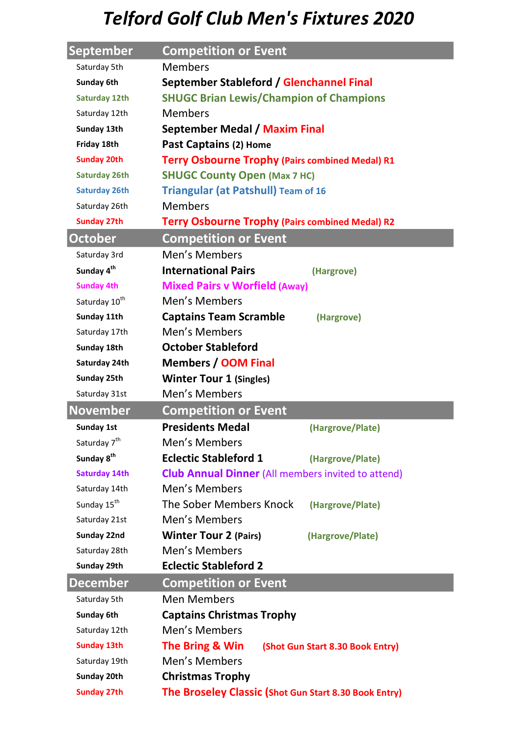| September                 | <b>Competition or Event</b>                               |  |  |
|---------------------------|-----------------------------------------------------------|--|--|
| Saturday 5th              | <b>Members</b>                                            |  |  |
| Sunday 6th                | September Stableford / Glenchannel Final                  |  |  |
| <b>Saturday 12th</b>      | <b>SHUGC Brian Lewis/Champion of Champions</b>            |  |  |
| Saturday 12th             | <b>Members</b>                                            |  |  |
| Sunday 13th               | September Medal / Maxim Final                             |  |  |
| Friday 18th               | Past Captains (2) Home                                    |  |  |
| <b>Sunday 20th</b>        | <b>Terry Osbourne Trophy (Pairs combined Medal) R1</b>    |  |  |
| <b>Saturday 26th</b>      | <b>SHUGC County Open (Max 7 HC)</b>                       |  |  |
| <b>Saturday 26th</b>      | <b>Triangular (at Patshull) Team of 16</b>                |  |  |
| Saturday 26th             | <b>Members</b>                                            |  |  |
| <b>Sunday 27th</b>        | <b>Terry Osbourne Trophy (Pairs combined Medal) R2</b>    |  |  |
| <b>October</b>            | <b>Competition or Event</b>                               |  |  |
| Saturday 3rd              | Men's Members                                             |  |  |
| Sunday 4 <sup>th</sup>    | <b>International Pairs</b><br>(Hargrove)                  |  |  |
| <b>Sunday 4th</b>         | <b>Mixed Pairs v Worfield (Away)</b>                      |  |  |
| Saturday 10 <sup>th</sup> | Men's Members                                             |  |  |
| Sunday 11th               | <b>Captains Team Scramble</b><br>(Hargrove)               |  |  |
| Saturday 17th             | Men's Members                                             |  |  |
| Sunday 18th               | <b>October Stableford</b>                                 |  |  |
| Saturday 24th             | <b>Members / OOM Final</b>                                |  |  |
| Sunday 25th               | <b>Winter Tour 1 (Singles)</b>                            |  |  |
| Saturday 31st             | Men's Members                                             |  |  |
| <b>November</b>           | <b>Competition or Event</b>                               |  |  |
| <b>Sunday 1st</b>         | <b>Presidents Medal</b><br>(Hargrove/Plate)               |  |  |
| Saturday 7 <sup>th</sup>  | Men's Members                                             |  |  |
| Sunday 8 <sup>th</sup>    | <b>Eclectic Stableford 1</b><br>(Hargrove/Plate)          |  |  |
| <b>Saturday 14th</b>      | <b>Club Annual Dinner</b> (All members invited to attend) |  |  |
| Saturday 14th             | Men's Members                                             |  |  |
| Sunday 15 <sup>th</sup>   | The Sober Members Knock<br>(Hargrove/Plate)               |  |  |
| Saturday 21st             | Men's Members                                             |  |  |
| Sunday 22nd               | <b>Winter Tour 2 (Pairs)</b><br>(Hargrove/Plate)          |  |  |
| Saturday 28th             | Men's Members                                             |  |  |
| Sunday 29th               | <b>Eclectic Stableford 2</b>                              |  |  |
| <b>December</b>           | <b>Competition or Event</b>                               |  |  |
| Saturday 5th              | <b>Men Members</b>                                        |  |  |
| Sunday 6th                | <b>Captains Christmas Trophy</b>                          |  |  |
| Saturday 12th             | Men's Members                                             |  |  |
| <b>Sunday 13th</b>        | The Bring & Win<br>(Shot Gun Start 8.30 Book Entry)       |  |  |
| Saturday 19th             | Men's Members                                             |  |  |
| Sunday 20th               |                                                           |  |  |
|                           | <b>Christmas Trophy</b>                                   |  |  |